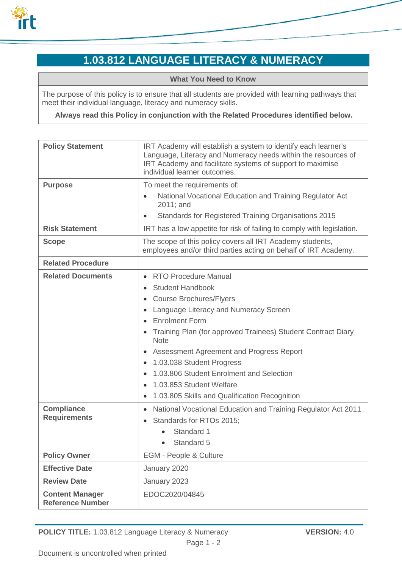

## **1.03.812 LANGUAGE LITERACY & NUMERACY**

**What You Need to Know**

The purpose of this policy is to ensure that all students are provided with learning pathways that meet their individual language, literacy and numeracy skills.

**Always read this Policy in conjunction with the Related Procedures identified below.**

| <b>Policy Statement</b>                           | IRT Academy will establish a system to identify each learner's<br>Language, Literacy and Numeracy needs within the resources of<br>IRT Academy and facilitate systems of support to maximise<br>individual learner outcomes.                                                                                                                                                                                                                                                                                                                               |
|---------------------------------------------------|------------------------------------------------------------------------------------------------------------------------------------------------------------------------------------------------------------------------------------------------------------------------------------------------------------------------------------------------------------------------------------------------------------------------------------------------------------------------------------------------------------------------------------------------------------|
| <b>Purpose</b>                                    | To meet the requirements of:<br>National Vocational Education and Training Regulator Act<br>$\bullet$<br>2011; and<br>Standards for Registered Training Organisations 2015<br>$\bullet$                                                                                                                                                                                                                                                                                                                                                                    |
| <b>Risk Statement</b>                             | IRT has a low appetite for risk of failing to comply with legislation.                                                                                                                                                                                                                                                                                                                                                                                                                                                                                     |
| <b>Scope</b>                                      | The scope of this policy covers all IRT Academy students,<br>employees and/or third parties acting on behalf of IRT Academy.                                                                                                                                                                                                                                                                                                                                                                                                                               |
| <b>Related Procedure</b>                          |                                                                                                                                                                                                                                                                                                                                                                                                                                                                                                                                                            |
| <b>Related Documents</b>                          | <b>RTO Procedure Manual</b><br>$\bullet$<br><b>Student Handbook</b><br>$\bullet$<br><b>Course Brochures/Flyers</b><br>٠<br>Language Literacy and Numeracy Screen<br>٠<br><b>Enrolment Form</b><br>$\bullet$<br>Training Plan (for approved Trainees) Student Contract Diary<br>$\bullet$<br><b>Note</b><br>Assessment Agreement and Progress Report<br>٠<br>1.03.038 Student Progress<br>$\bullet$<br>1.03.806 Student Enrolment and Selection<br>$\bullet$<br>1.03.853 Student Welfare<br>$\bullet$<br>1.03.805 Skills and Qualification Recognition<br>٠ |
| <b>Compliance</b><br><b>Requirements</b>          | National Vocational Education and Training Regulator Act 2011<br>$\bullet$<br>Standards for RTOs 2015;<br>$\bullet$<br>Standard 1<br>Standard 5                                                                                                                                                                                                                                                                                                                                                                                                            |
| <b>Policy Owner</b>                               | <b>EGM - People &amp; Culture</b>                                                                                                                                                                                                                                                                                                                                                                                                                                                                                                                          |
| <b>Effective Date</b>                             | January 2020                                                                                                                                                                                                                                                                                                                                                                                                                                                                                                                                               |
| <b>Review Date</b>                                | January 2023                                                                                                                                                                                                                                                                                                                                                                                                                                                                                                                                               |
| <b>Content Manager</b><br><b>Reference Number</b> | EDOC2020/04845                                                                                                                                                                                                                                                                                                                                                                                                                                                                                                                                             |